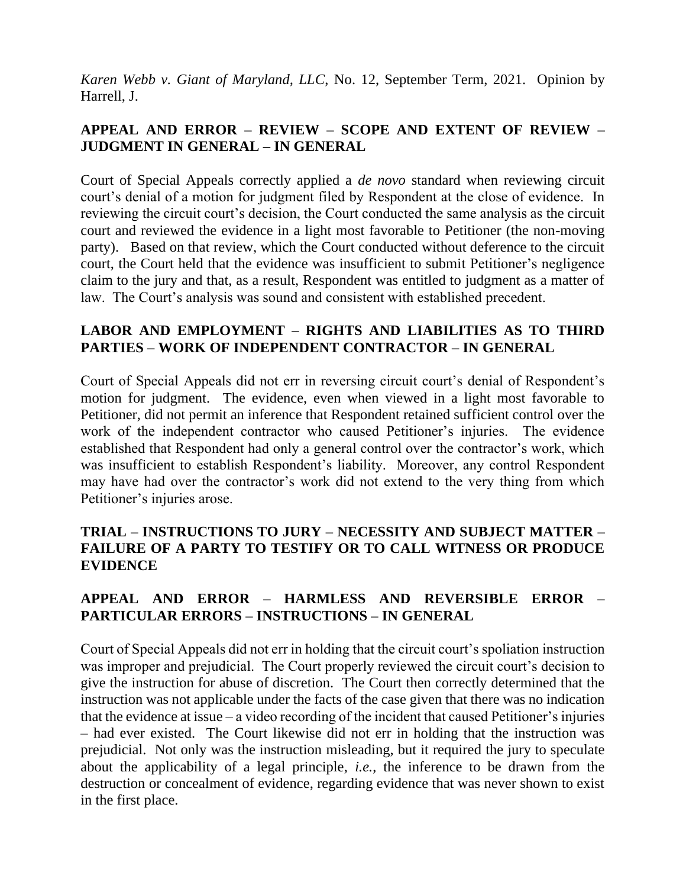*Karen Webb v. Giant of Maryland, LLC*, No. 12, September Term, 2021. Opinion by Harrell, J.

# **APPEAL AND ERROR – REVIEW – SCOPE AND EXTENT OF REVIEW – JUDGMENT IN GENERAL – IN GENERAL**

Court of Special Appeals correctly applied a *de novo* standard when reviewing circuit court's denial of a motion for judgment filed by Respondent at the close of evidence. In reviewing the circuit court's decision, the Court conducted the same analysis as the circuit court and reviewed the evidence in a light most favorable to Petitioner (the non-moving party). Based on that review, which the Court conducted without deference to the circuit court, the Court held that the evidence was insufficient to submit Petitioner's negligence claim to the jury and that, as a result, Respondent was entitled to judgment as a matter of law. The Court's analysis was sound and consistent with established precedent.

# **LABOR AND EMPLOYMENT – RIGHTS AND LIABILITIES AS TO THIRD PARTIES – WORK OF INDEPENDENT CONTRACTOR – IN GENERAL**

Court of Special Appeals did not err in reversing circuit court's denial of Respondent's motion for judgment. The evidence, even when viewed in a light most favorable to Petitioner, did not permit an inference that Respondent retained sufficient control over the work of the independent contractor who caused Petitioner's injuries. The evidence established that Respondent had only a general control over the contractor's work, which was insufficient to establish Respondent's liability. Moreover, any control Respondent may have had over the contractor's work did not extend to the very thing from which Petitioner's injuries arose.

# **TRIAL – INSTRUCTIONS TO JURY – NECESSITY AND SUBJECT MATTER – FAILURE OF A PARTY TO TESTIFY OR TO CALL WITNESS OR PRODUCE EVIDENCE**

# **APPEAL AND ERROR – HARMLESS AND REVERSIBLE ERROR – PARTICULAR ERRORS – INSTRUCTIONS – IN GENERAL**

Court of Special Appeals did not err in holding that the circuit court's spoliation instruction was improper and prejudicial. The Court properly reviewed the circuit court's decision to give the instruction for abuse of discretion. The Court then correctly determined that the instruction was not applicable under the facts of the case given that there was no indication that the evidence at issue – a video recording of the incident that caused Petitioner's injuries – had ever existed. The Court likewise did not err in holding that the instruction was prejudicial. Not only was the instruction misleading, but it required the jury to speculate about the applicability of a legal principle, *i.e.*, the inference to be drawn from the destruction or concealment of evidence, regarding evidence that was never shown to exist in the first place.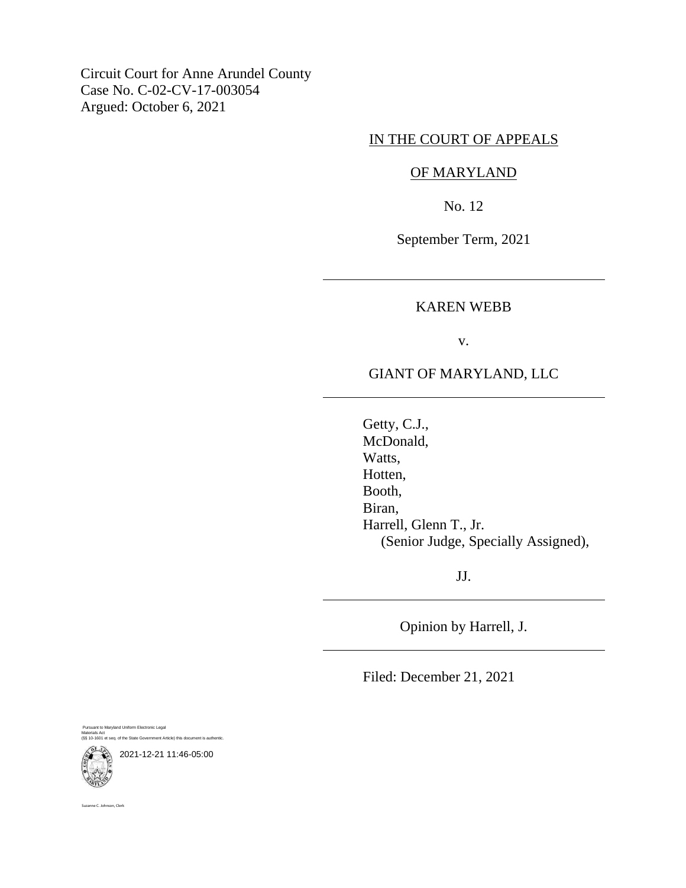Circuit Court for Anne Arundel County Case No. C-02-CV-17-003054 Argued: October 6, 2021

## IN THE COURT OF APPEALS

### OF MARYLAND

No. 12

September Term, 2021

### KAREN WEBB

v.

# GIANT OF MARYLAND, LLC

Getty, C.J., McDonald, Watts, Hotten, Booth, Biran, Harrell, Glenn T., Jr. (Senior Judge, Specially Assigned),

JJ.

Opinion by Harrell, J.

Filed: December 21, 2021

Pursuant to Maryland Uniform Electronic Legal Materials Act (§§ 10-1601 et seq. of the State Government Article) this document is authentic.

2021-12-21 11:46-05:00

ne C. Johnson, Clerk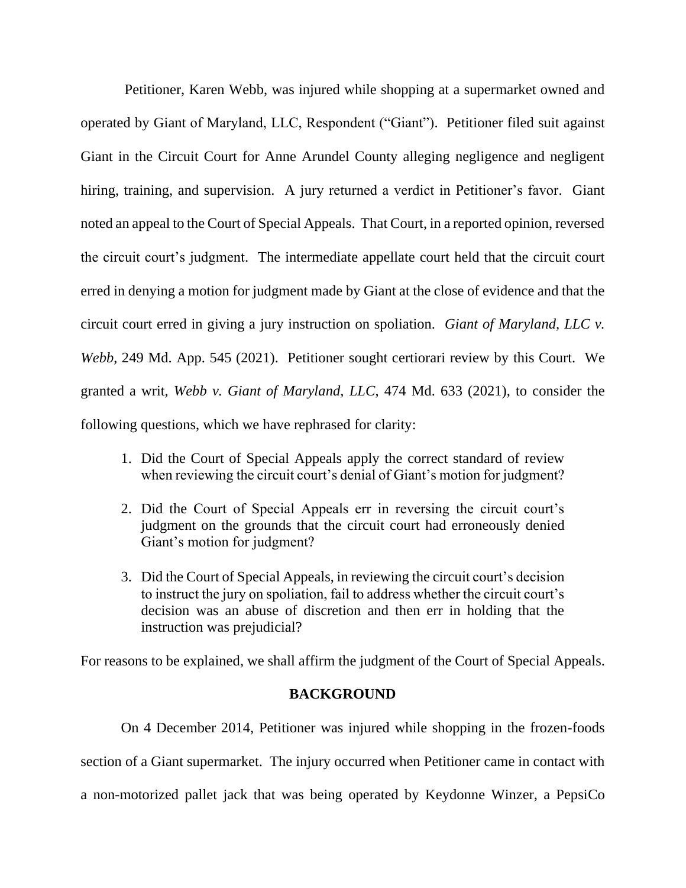Petitioner, Karen Webb, was injured while shopping at a supermarket owned and operated by Giant of Maryland, LLC, Respondent ("Giant"). Petitioner filed suit against Giant in the Circuit Court for Anne Arundel County alleging negligence and negligent hiring, training, and supervision. A jury returned a verdict in Petitioner's favor. Giant noted an appeal to the Court of Special Appeals. That Court, in a reported opinion, reversed the circuit court's judgment. The intermediate appellate court held that the circuit court erred in denying a motion for judgment made by Giant at the close of evidence and that the circuit court erred in giving a jury instruction on spoliation. *Giant of Maryland, LLC v. Webb*, 249 Md. App. 545 (2021). Petitioner sought certiorari review by this Court. We granted a writ, *Webb v. Giant of Maryland, LLC*, 474 Md. 633 (2021), to consider the following questions, which we have rephrased for clarity:

- 1. Did the Court of Special Appeals apply the correct standard of review when reviewing the circuit court's denial of Giant's motion for judgment?
- 2. Did the Court of Special Appeals err in reversing the circuit court's judgment on the grounds that the circuit court had erroneously denied Giant's motion for judgment?
- 3. Did the Court of Special Appeals, in reviewing the circuit court's decision to instruct the jury on spoliation, fail to address whether the circuit court's decision was an abuse of discretion and then err in holding that the instruction was prejudicial?

For reasons to be explained, we shall affirm the judgment of the Court of Special Appeals.

## **BACKGROUND**

On 4 December 2014, Petitioner was injured while shopping in the frozen-foods section of a Giant supermarket. The injury occurred when Petitioner came in contact with a non-motorized pallet jack that was being operated by Keydonne Winzer, a PepsiCo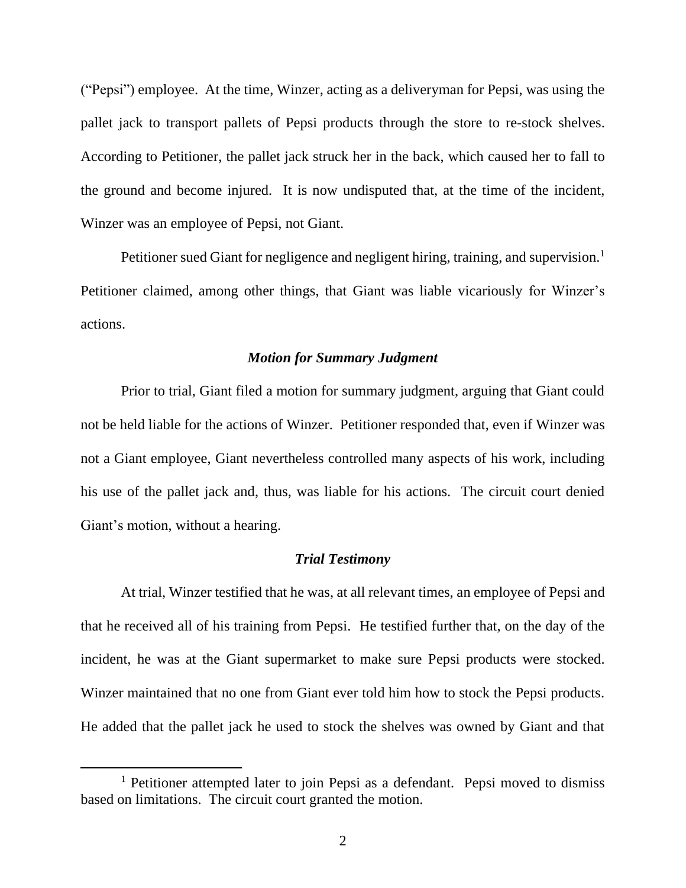("Pepsi") employee. At the time, Winzer, acting as a deliveryman for Pepsi, was using the pallet jack to transport pallets of Pepsi products through the store to re-stock shelves. According to Petitioner, the pallet jack struck her in the back, which caused her to fall to the ground and become injured. It is now undisputed that, at the time of the incident, Winzer was an employee of Pepsi, not Giant.

Petitioner sued Giant for negligence and negligent hiring, training, and supervision.<sup>1</sup> Petitioner claimed, among other things, that Giant was liable vicariously for Winzer's actions.

### *Motion for Summary Judgment*

Prior to trial, Giant filed a motion for summary judgment, arguing that Giant could not be held liable for the actions of Winzer. Petitioner responded that, even if Winzer was not a Giant employee, Giant nevertheless controlled many aspects of his work, including his use of the pallet jack and, thus, was liable for his actions. The circuit court denied Giant's motion, without a hearing.

### *Trial Testimony*

At trial, Winzer testified that he was, at all relevant times, an employee of Pepsi and that he received all of his training from Pepsi. He testified further that, on the day of the incident, he was at the Giant supermarket to make sure Pepsi products were stocked. Winzer maintained that no one from Giant ever told him how to stock the Pepsi products. He added that the pallet jack he used to stock the shelves was owned by Giant and that

<sup>&</sup>lt;sup>1</sup> Petitioner attempted later to join Pepsi as a defendant. Pepsi moved to dismiss based on limitations. The circuit court granted the motion.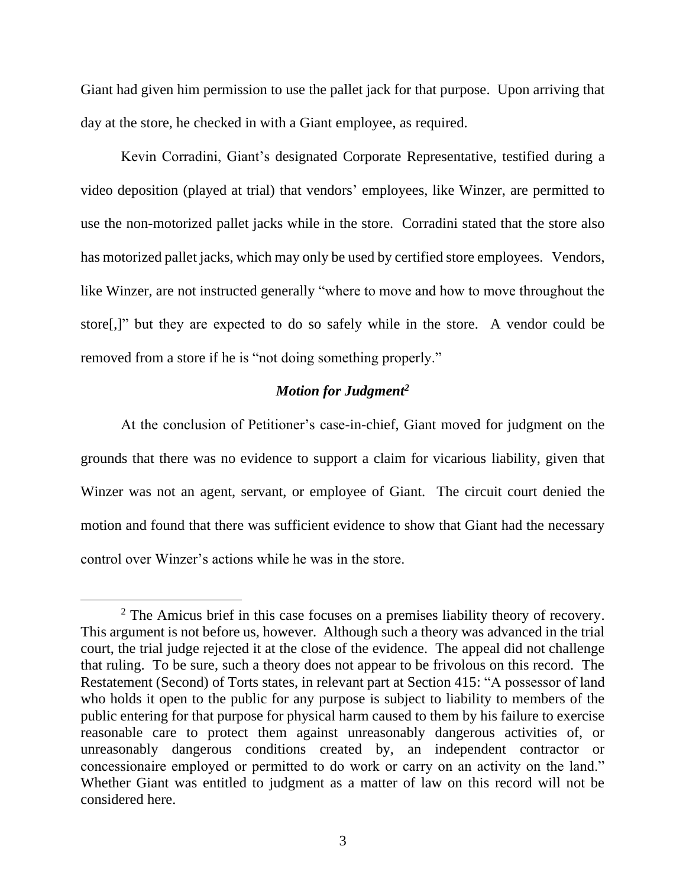Giant had given him permission to use the pallet jack for that purpose. Upon arriving that day at the store, he checked in with a Giant employee, as required.

Kevin Corradini, Giant's designated Corporate Representative, testified during a video deposition (played at trial) that vendors' employees, like Winzer, are permitted to use the non-motorized pallet jacks while in the store. Corradini stated that the store also has motorized pallet jacks, which may only be used by certified store employees. Vendors, like Winzer, are not instructed generally "where to move and how to move throughout the store[,]" but they are expected to do so safely while in the store. A vendor could be removed from a store if he is "not doing something properly."

## *Motion for Judgment<sup>2</sup>*

At the conclusion of Petitioner's case-in-chief, Giant moved for judgment on the grounds that there was no evidence to support a claim for vicarious liability, given that Winzer was not an agent, servant, or employee of Giant. The circuit court denied the motion and found that there was sufficient evidence to show that Giant had the necessary control over Winzer's actions while he was in the store.

<sup>&</sup>lt;sup>2</sup> The Amicus brief in this case focuses on a premises liability theory of recovery. This argument is not before us, however. Although such a theory was advanced in the trial court, the trial judge rejected it at the close of the evidence. The appeal did not challenge that ruling. To be sure, such a theory does not appear to be frivolous on this record. The Restatement (Second) of Torts states, in relevant part at Section 415: "A possessor of land who holds it open to the public for any purpose is subject to liability to members of the public entering for that purpose for physical harm caused to them by his failure to exercise reasonable care to protect them against unreasonably dangerous activities of, or unreasonably dangerous conditions created by, an independent contractor or concessionaire employed or permitted to do work or carry on an activity on the land." Whether Giant was entitled to judgment as a matter of law on this record will not be considered here.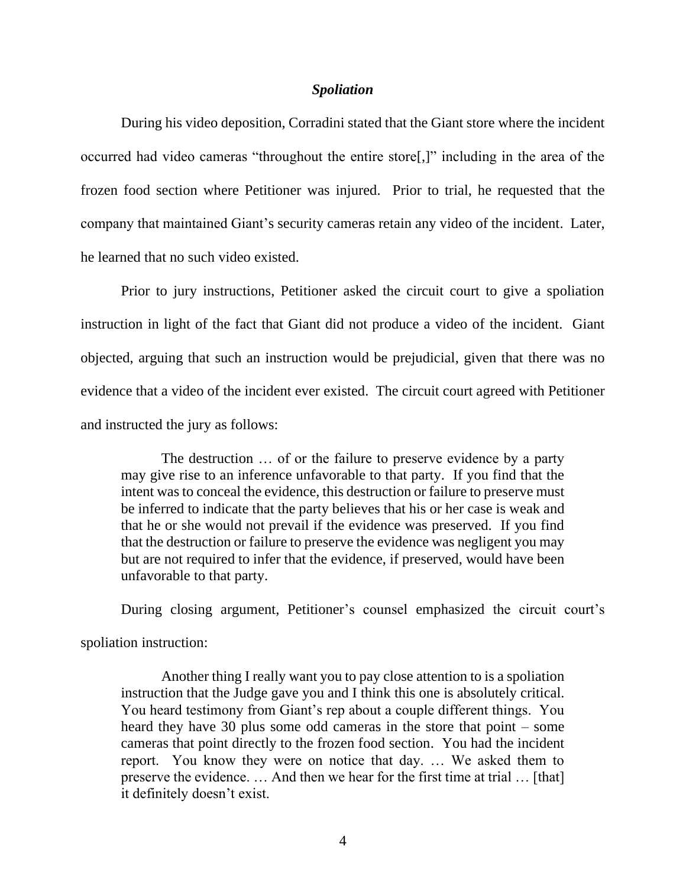#### *Spoliation*

During his video deposition, Corradini stated that the Giant store where the incident occurred had video cameras "throughout the entire store[,]" including in the area of the frozen food section where Petitioner was injured. Prior to trial, he requested that the company that maintained Giant's security cameras retain any video of the incident. Later, he learned that no such video existed.

Prior to jury instructions, Petitioner asked the circuit court to give a spoliation instruction in light of the fact that Giant did not produce a video of the incident. Giant objected, arguing that such an instruction would be prejudicial, given that there was no evidence that a video of the incident ever existed. The circuit court agreed with Petitioner and instructed the jury as follows:

The destruction … of or the failure to preserve evidence by a party may give rise to an inference unfavorable to that party. If you find that the intent was to conceal the evidence, this destruction or failure to preserve must be inferred to indicate that the party believes that his or her case is weak and that he or she would not prevail if the evidence was preserved. If you find that the destruction or failure to preserve the evidence was negligent you may but are not required to infer that the evidence, if preserved, would have been unfavorable to that party.

During closing argument, Petitioner's counsel emphasized the circuit court's

spoliation instruction:

Another thing I really want you to pay close attention to is a spoliation instruction that the Judge gave you and I think this one is absolutely critical. You heard testimony from Giant's rep about a couple different things. You heard they have 30 plus some odd cameras in the store that point – some cameras that point directly to the frozen food section. You had the incident report. You know they were on notice that day. … We asked them to preserve the evidence. … And then we hear for the first time at trial … [that] it definitely doesn't exist.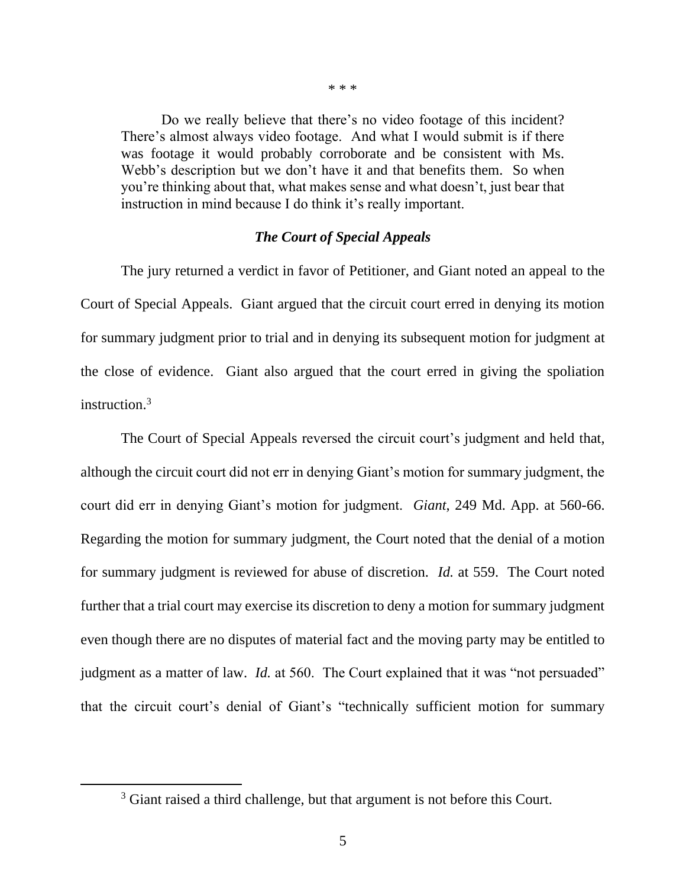Do we really believe that there's no video footage of this incident? There's almost always video footage. And what I would submit is if there was footage it would probably corroborate and be consistent with Ms. Webb's description but we don't have it and that benefits them. So when you're thinking about that, what makes sense and what doesn't, just bear that instruction in mind because I do think it's really important.

## *The Court of Special Appeals*

The jury returned a verdict in favor of Petitioner, and Giant noted an appeal to the Court of Special Appeals. Giant argued that the circuit court erred in denying its motion for summary judgment prior to trial and in denying its subsequent motion for judgment at the close of evidence. Giant also argued that the court erred in giving the spoliation instruction.<sup>3</sup>

The Court of Special Appeals reversed the circuit court's judgment and held that, although the circuit court did not err in denying Giant's motion for summary judgment, the court did err in denying Giant's motion for judgment. *Giant*, 249 Md. App. at 560-66. Regarding the motion for summary judgment, the Court noted that the denial of a motion for summary judgment is reviewed for abuse of discretion. *Id.* at 559. The Court noted further that a trial court may exercise its discretion to deny a motion for summary judgment even though there are no disputes of material fact and the moving party may be entitled to judgment as a matter of law. *Id.* at 560. The Court explained that it was "not persuaded" that the circuit court's denial of Giant's "technically sufficient motion for summary

\* \* \*

<sup>&</sup>lt;sup>3</sup> Giant raised a third challenge, but that argument is not before this Court.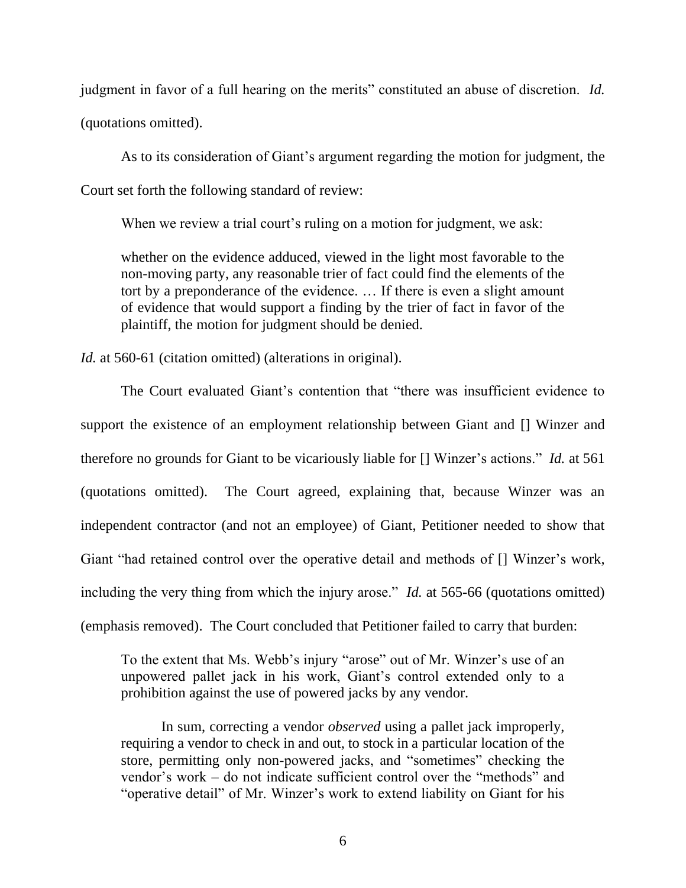judgment in favor of a full hearing on the merits" constituted an abuse of discretion. *Id.* (quotations omitted).

As to its consideration of Giant's argument regarding the motion for judgment, the Court set forth the following standard of review:

When we review a trial court's ruling on a motion for judgment, we ask:

whether on the evidence adduced, viewed in the light most favorable to the non-moving party, any reasonable trier of fact could find the elements of the tort by a preponderance of the evidence. … If there is even a slight amount of evidence that would support a finding by the trier of fact in favor of the plaintiff, the motion for judgment should be denied.

*Id.* at 560-61 (citation omitted) (alterations in original).

The Court evaluated Giant's contention that "there was insufficient evidence to support the existence of an employment relationship between Giant and [] Winzer and therefore no grounds for Giant to be vicariously liable for [] Winzer's actions." *Id.* at 561 (quotations omitted). The Court agreed, explaining that, because Winzer was an independent contractor (and not an employee) of Giant, Petitioner needed to show that Giant "had retained control over the operative detail and methods of [] Winzer's work, including the very thing from which the injury arose." *Id.* at 565-66 (quotations omitted) (emphasis removed). The Court concluded that Petitioner failed to carry that burden:

To the extent that Ms. Webb's injury "arose" out of Mr. Winzer's use of an unpowered pallet jack in his work, Giant's control extended only to a prohibition against the use of powered jacks by any vendor.

In sum, correcting a vendor *observed* using a pallet jack improperly, requiring a vendor to check in and out, to stock in a particular location of the store, permitting only non-powered jacks, and "sometimes" checking the vendor's work – do not indicate sufficient control over the "methods" and "operative detail" of Mr. Winzer's work to extend liability on Giant for his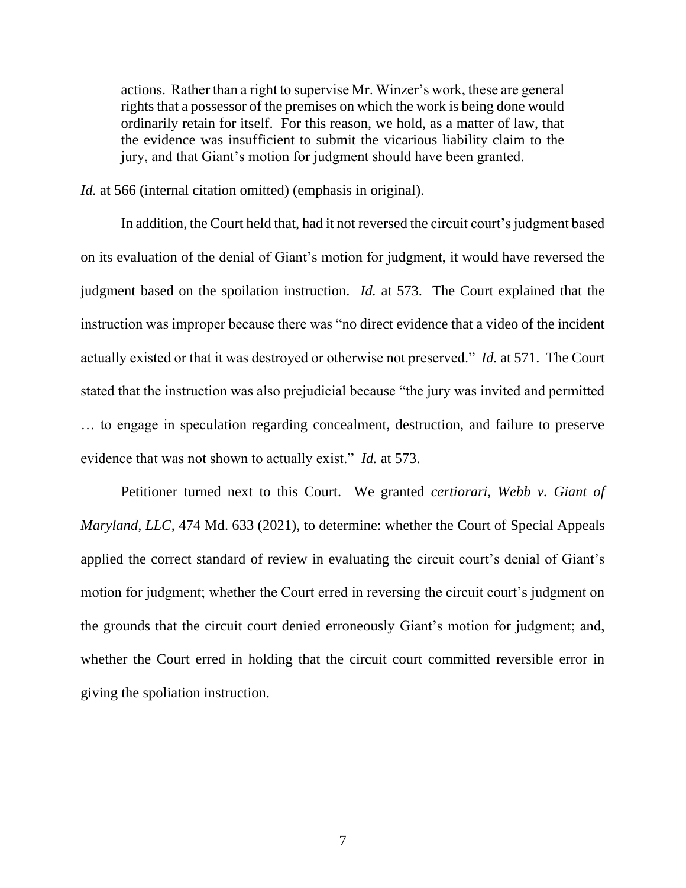actions. Rather than a right to supervise Mr. Winzer's work, these are general rights that a possessor of the premises on which the work is being done would ordinarily retain for itself. For this reason, we hold, as a matter of law, that the evidence was insufficient to submit the vicarious liability claim to the jury, and that Giant's motion for judgment should have been granted.

*Id.* at 566 (internal citation omitted) (emphasis in original).

In addition, the Court held that, had it not reversed the circuit court's judgment based on its evaluation of the denial of Giant's motion for judgment, it would have reversed the judgment based on the spoilation instruction. *Id.* at 573. The Court explained that the instruction was improper because there was "no direct evidence that a video of the incident actually existed or that it was destroyed or otherwise not preserved." *Id.* at 571. The Court stated that the instruction was also prejudicial because "the jury was invited and permitted … to engage in speculation regarding concealment, destruction, and failure to preserve evidence that was not shown to actually exist." *Id.* at 573.

Petitioner turned next to this Court. We granted *certiorari*, *Webb v. Giant of Maryland, LLC*, 474 Md. 633 (2021), to determine: whether the Court of Special Appeals applied the correct standard of review in evaluating the circuit court's denial of Giant's motion for judgment; whether the Court erred in reversing the circuit court's judgment on the grounds that the circuit court denied erroneously Giant's motion for judgment; and, whether the Court erred in holding that the circuit court committed reversible error in giving the spoliation instruction.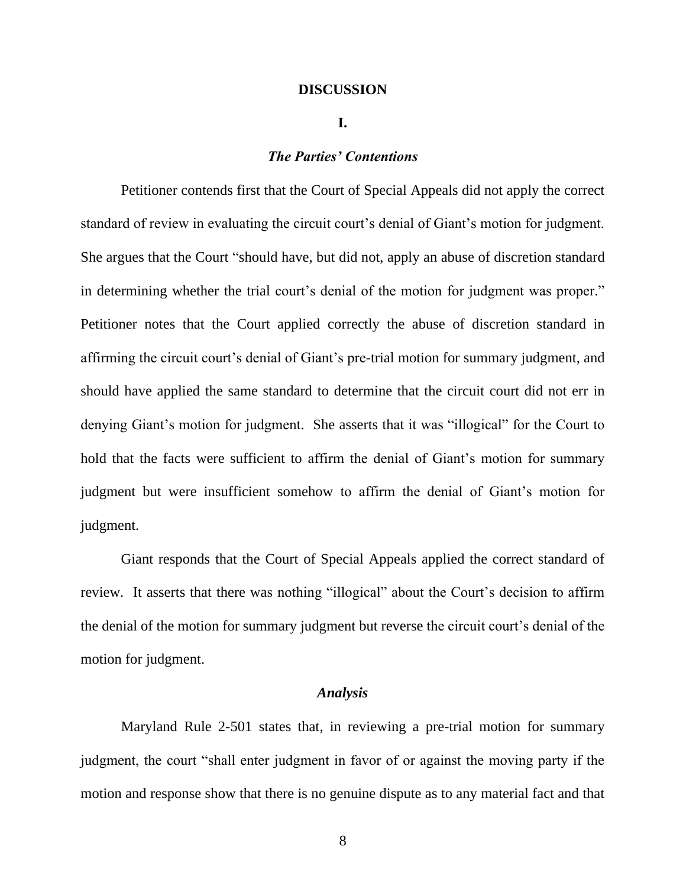### **DISCUSSION**

#### **I.**

### *The Parties' Contentions*

Petitioner contends first that the Court of Special Appeals did not apply the correct standard of review in evaluating the circuit court's denial of Giant's motion for judgment. She argues that the Court "should have, but did not, apply an abuse of discretion standard in determining whether the trial court's denial of the motion for judgment was proper." Petitioner notes that the Court applied correctly the abuse of discretion standard in affirming the circuit court's denial of Giant's pre-trial motion for summary judgment, and should have applied the same standard to determine that the circuit court did not err in denying Giant's motion for judgment. She asserts that it was "illogical" for the Court to hold that the facts were sufficient to affirm the denial of Giant's motion for summary judgment but were insufficient somehow to affirm the denial of Giant's motion for judgment.

Giant responds that the Court of Special Appeals applied the correct standard of review. It asserts that there was nothing "illogical" about the Court's decision to affirm the denial of the motion for summary judgment but reverse the circuit court's denial of the motion for judgment.

### *Analysis*

Maryland Rule 2-501 states that, in reviewing a pre-trial motion for summary judgment, the court "shall enter judgment in favor of or against the moving party if the motion and response show that there is no genuine dispute as to any material fact and that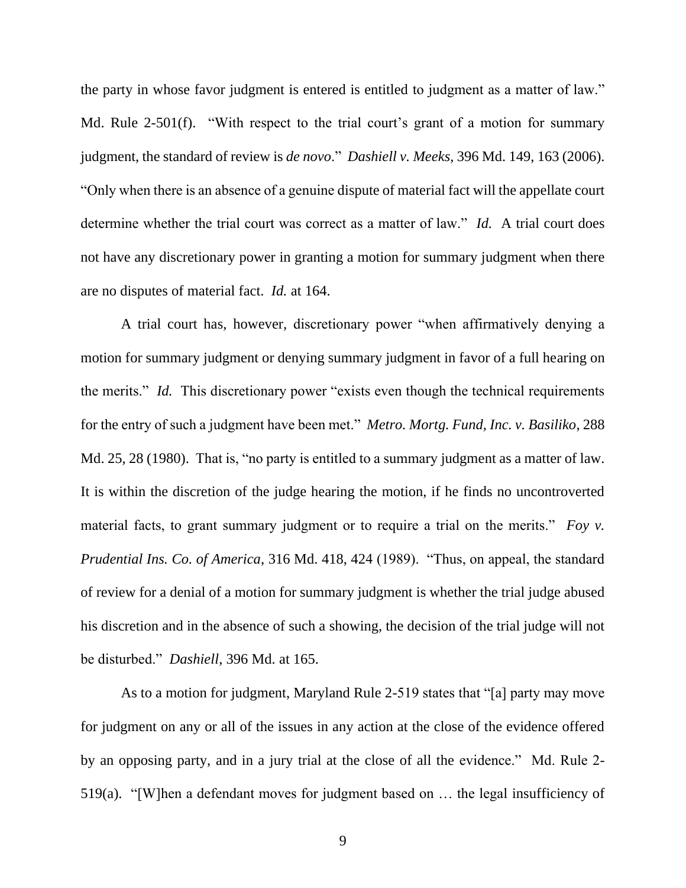the party in whose favor judgment is entered is entitled to judgment as a matter of law." Md. Rule 2-501(f). "With respect to the trial court's grant of a motion for summary judgment, the standard of review is *de novo*." *Dashiell v. Meeks*, 396 Md. 149, 163 (2006). "Only when there is an absence of a genuine dispute of material fact will the appellate court determine whether the trial court was correct as a matter of law." *Id.* A trial court does not have any discretionary power in granting a motion for summary judgment when there are no disputes of material fact. *Id.* at 164.

A trial court has, however, discretionary power "when affirmatively denying a motion for summary judgment or denying summary judgment in favor of a full hearing on the merits." *Id.* This discretionary power "exists even though the technical requirements for the entry of such a judgment have been met." *Metro. Mortg. Fund, Inc. v. Basiliko*, 288 Md. 25, 28 (1980). That is, "no party is entitled to a summary judgment as a matter of law. It is within the discretion of the judge hearing the motion, if he finds no uncontroverted material facts, to grant summary judgment or to require a trial on the merits." *Foy v. Prudential Ins. Co. of America*, 316 Md. 418, 424 (1989). "Thus, on appeal, the standard of review for a denial of a motion for summary judgment is whether the trial judge abused his discretion and in the absence of such a showing, the decision of the trial judge will not be disturbed." *Dashiell*, 396 Md. at 165.

As to a motion for judgment, Maryland Rule 2-519 states that "[a] party may move for judgment on any or all of the issues in any action at the close of the evidence offered by an opposing party, and in a jury trial at the close of all the evidence." Md. Rule 2- 519(a). "[W]hen a defendant moves for judgment based on … the legal insufficiency of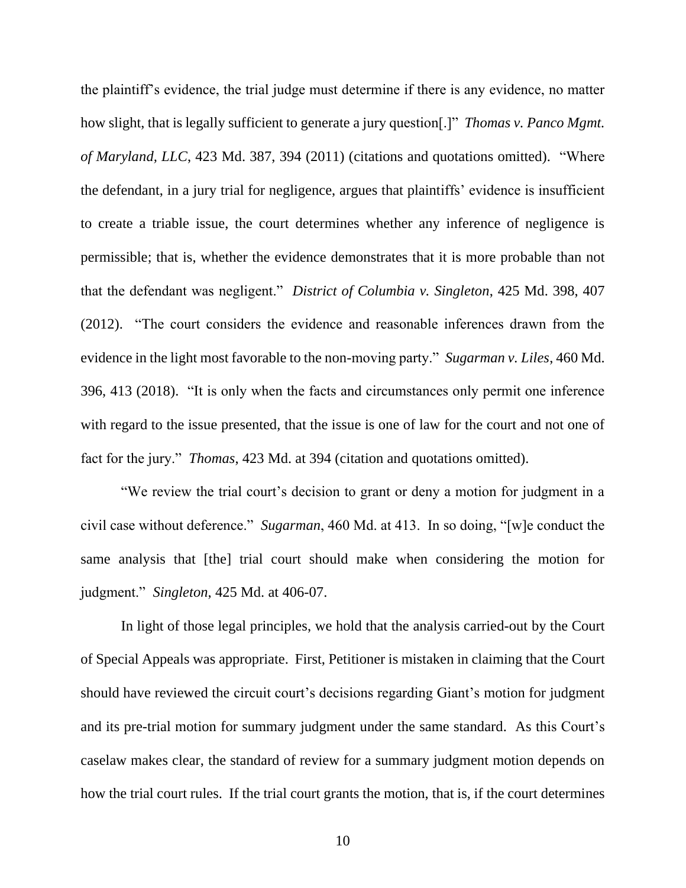the plaintiff's evidence, the trial judge must determine if there is any evidence, no matter how slight, that is legally sufficient to generate a jury question[.]" *Thomas v. Panco Mgmt. of Maryland, LLC*, 423 Md. 387, 394 (2011) (citations and quotations omitted). "Where the defendant, in a jury trial for negligence, argues that plaintiffs' evidence is insufficient to create a triable issue, the court determines whether any inference of negligence is permissible; that is, whether the evidence demonstrates that it is more probable than not that the defendant was negligent." *District of Columbia v. Singleton*, 425 Md. 398, 407 (2012). "The court considers the evidence and reasonable inferences drawn from the evidence in the light most favorable to the non-moving party." *Sugarman v. Liles*, 460 Md. 396, 413 (2018). "It is only when the facts and circumstances only permit one inference with regard to the issue presented, that the issue is one of law for the court and not one of fact for the jury." *Thomas*, 423 Md. at 394 (citation and quotations omitted).

"We review the trial court's decision to grant or deny a motion for judgment in a civil case without deference." *Sugarman*, 460 Md. at 413. In so doing, "[w]e conduct the same analysis that [the] trial court should make when considering the motion for judgment." *Singleton*, 425 Md. at 406-07.

In light of those legal principles, we hold that the analysis carried-out by the Court of Special Appeals was appropriate. First, Petitioner is mistaken in claiming that the Court should have reviewed the circuit court's decisions regarding Giant's motion for judgment and its pre-trial motion for summary judgment under the same standard. As this Court's caselaw makes clear, the standard of review for a summary judgment motion depends on how the trial court rules. If the trial court grants the motion, that is, if the court determines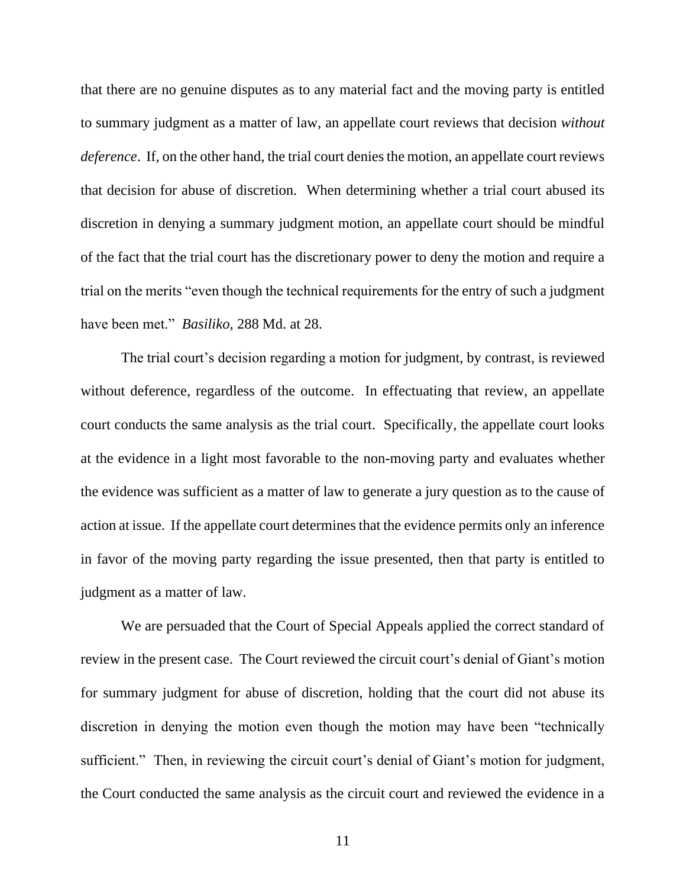that there are no genuine disputes as to any material fact and the moving party is entitled to summary judgment as a matter of law, an appellate court reviews that decision *without deference*. If, on the other hand, the trial court denies the motion, an appellate court reviews that decision for abuse of discretion. When determining whether a trial court abused its discretion in denying a summary judgment motion, an appellate court should be mindful of the fact that the trial court has the discretionary power to deny the motion and require a trial on the merits "even though the technical requirements for the entry of such a judgment have been met." *Basiliko*, 288 Md. at 28.

The trial court's decision regarding a motion for judgment, by contrast, is reviewed without deference, regardless of the outcome. In effectuating that review, an appellate court conducts the same analysis as the trial court. Specifically, the appellate court looks at the evidence in a light most favorable to the non-moving party and evaluates whether the evidence was sufficient as a matter of law to generate a jury question as to the cause of action at issue. If the appellate court determines that the evidence permits only an inference in favor of the moving party regarding the issue presented, then that party is entitled to judgment as a matter of law.

We are persuaded that the Court of Special Appeals applied the correct standard of review in the present case. The Court reviewed the circuit court's denial of Giant's motion for summary judgment for abuse of discretion, holding that the court did not abuse its discretion in denying the motion even though the motion may have been "technically sufficient." Then, in reviewing the circuit court's denial of Giant's motion for judgment, the Court conducted the same analysis as the circuit court and reviewed the evidence in a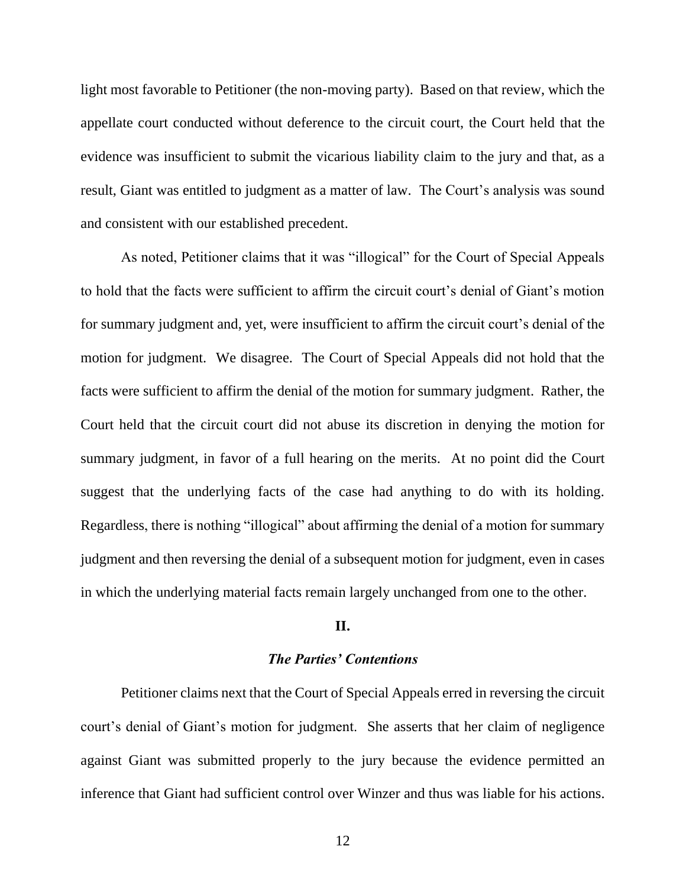light most favorable to Petitioner (the non-moving party). Based on that review, which the appellate court conducted without deference to the circuit court, the Court held that the evidence was insufficient to submit the vicarious liability claim to the jury and that, as a result, Giant was entitled to judgment as a matter of law. The Court's analysis was sound and consistent with our established precedent.

As noted, Petitioner claims that it was "illogical" for the Court of Special Appeals to hold that the facts were sufficient to affirm the circuit court's denial of Giant's motion for summary judgment and, yet, were insufficient to affirm the circuit court's denial of the motion for judgment. We disagree. The Court of Special Appeals did not hold that the facts were sufficient to affirm the denial of the motion for summary judgment. Rather, the Court held that the circuit court did not abuse its discretion in denying the motion for summary judgment, in favor of a full hearing on the merits. At no point did the Court suggest that the underlying facts of the case had anything to do with its holding. Regardless, there is nothing "illogical" about affirming the denial of a motion for summary judgment and then reversing the denial of a subsequent motion for judgment, even in cases in which the underlying material facts remain largely unchanged from one to the other.

### **II.**

#### *The Parties' Contentions*

Petitioner claims next that the Court of Special Appeals erred in reversing the circuit court's denial of Giant's motion for judgment. She asserts that her claim of negligence against Giant was submitted properly to the jury because the evidence permitted an inference that Giant had sufficient control over Winzer and thus was liable for his actions.

12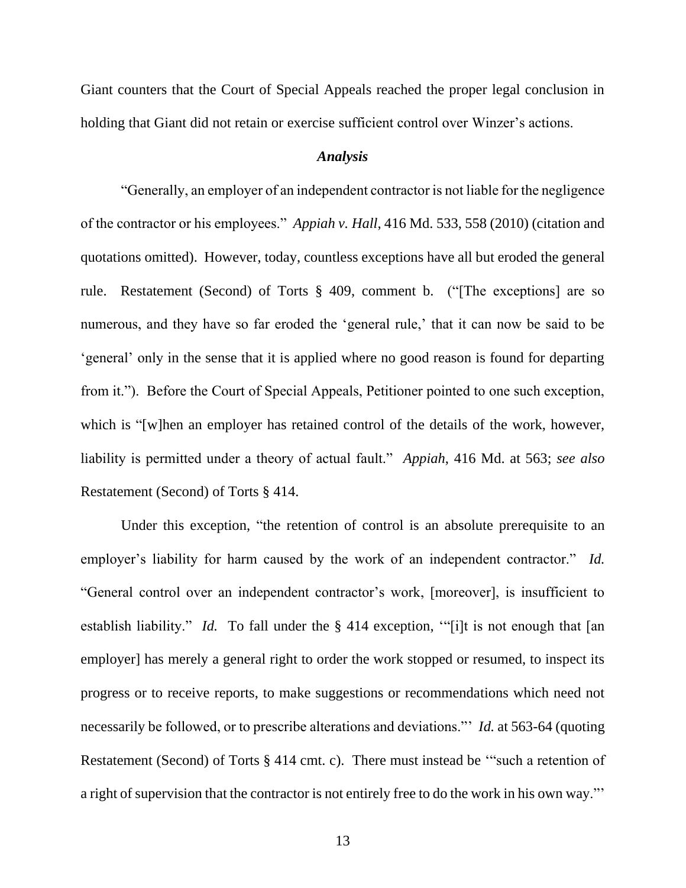Giant counters that the Court of Special Appeals reached the proper legal conclusion in holding that Giant did not retain or exercise sufficient control over Winzer's actions.

#### *Analysis*

"Generally, an employer of an independent contractor is not liable for the negligence of the contractor or his employees." *Appiah v. Hall*, 416 Md. 533, 558 (2010) (citation and quotations omitted). However, today, countless exceptions have all but eroded the general rule. Restatement (Second) of Torts § 409, comment b. ("[The exceptions] are so numerous, and they have so far eroded the 'general rule,' that it can now be said to be 'general' only in the sense that it is applied where no good reason is found for departing from it."). Before the Court of Special Appeals, Petitioner pointed to one such exception, which is "[w]hen an employer has retained control of the details of the work, however, liability is permitted under a theory of actual fault." *Appiah*, 416 Md. at 563; *see also* Restatement (Second) of Torts § 414.

Under this exception, "the retention of control is an absolute prerequisite to an employer's liability for harm caused by the work of an independent contractor." *Id.*  "General control over an independent contractor's work, [moreover], is insufficient to establish liability." *Id.* To fall under the § 414 exception, "[i]t is not enough that [an employer] has merely a general right to order the work stopped or resumed, to inspect its progress or to receive reports, to make suggestions or recommendations which need not necessarily be followed, or to prescribe alterations and deviations."' *Id.* at 563-64 (quoting Restatement (Second) of Torts § 414 cmt. c). There must instead be '"such a retention of a right of supervision that the contractor is not entirely free to do the work in his own way."'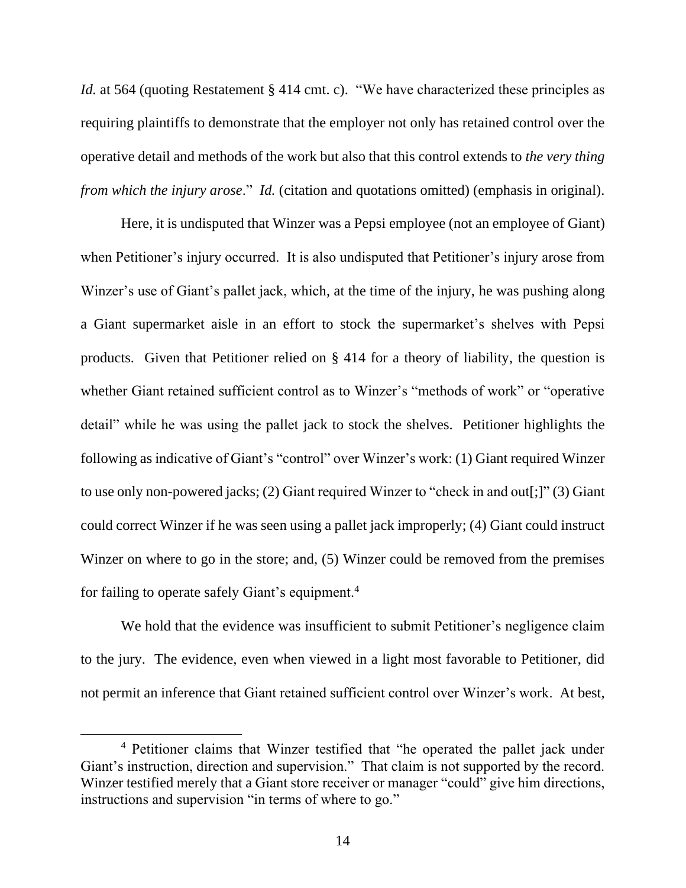*Id.* at 564 (quoting Restatement § 414 cmt. c). "We have characterized these principles as requiring plaintiffs to demonstrate that the employer not only has retained control over the operative detail and methods of the work but also that this control extends to *the very thing from which the injury arose.*" *Id.* (citation and quotations omitted) (emphasis in original).

Here, it is undisputed that Winzer was a Pepsi employee (not an employee of Giant) when Petitioner's injury occurred. It is also undisputed that Petitioner's injury arose from Winzer's use of Giant's pallet jack, which, at the time of the injury, he was pushing along a Giant supermarket aisle in an effort to stock the supermarket's shelves with Pepsi products. Given that Petitioner relied on § 414 for a theory of liability, the question is whether Giant retained sufficient control as to Winzer's "methods of work" or "operative detail" while he was using the pallet jack to stock the shelves. Petitioner highlights the following as indicative of Giant's "control" over Winzer's work: (1) Giant required Winzer to use only non-powered jacks; (2) Giant required Winzer to "check in and out[;]" (3) Giant could correct Winzer if he was seen using a pallet jack improperly; (4) Giant could instruct Winzer on where to go in the store; and, (5) Winzer could be removed from the premises for failing to operate safely Giant's equipment.<sup>4</sup>

We hold that the evidence was insufficient to submit Petitioner's negligence claim to the jury. The evidence, even when viewed in a light most favorable to Petitioner, did not permit an inference that Giant retained sufficient control over Winzer's work. At best,

<sup>4</sup> Petitioner claims that Winzer testified that "he operated the pallet jack under Giant's instruction, direction and supervision." That claim is not supported by the record. Winzer testified merely that a Giant store receiver or manager "could" give him directions, instructions and supervision "in terms of where to go."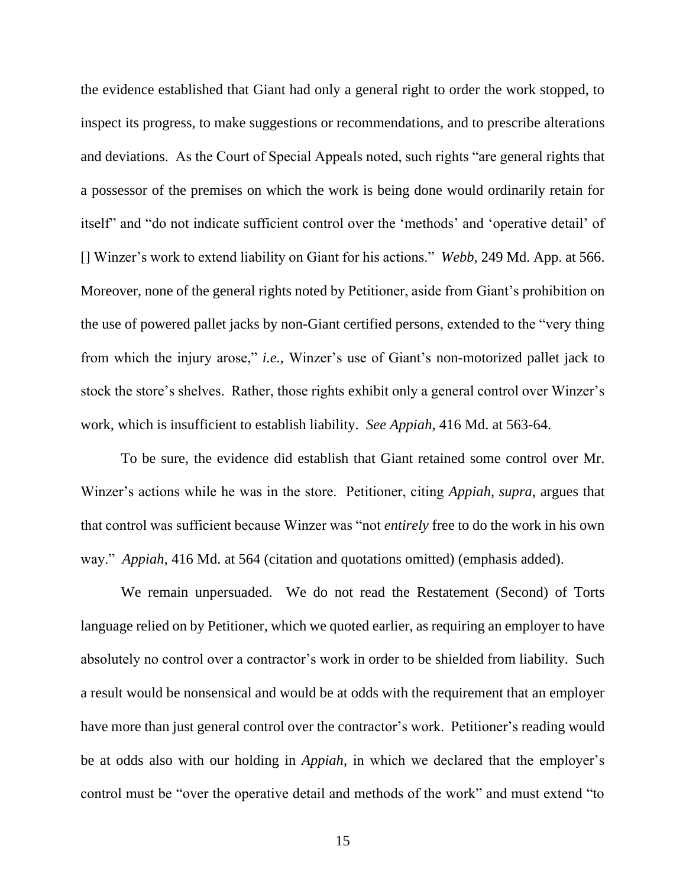the evidence established that Giant had only a general right to order the work stopped, to inspect its progress, to make suggestions or recommendations, and to prescribe alterations and deviations. As the Court of Special Appeals noted, such rights "are general rights that a possessor of the premises on which the work is being done would ordinarily retain for itself" and "do not indicate sufficient control over the 'methods' and 'operative detail' of [] Winzer's work to extend liability on Giant for his actions." *Webb*, 249 Md. App. at 566. Moreover, none of the general rights noted by Petitioner, aside from Giant's prohibition on the use of powered pallet jacks by non-Giant certified persons, extended to the "very thing from which the injury arose," *i.e.*, Winzer's use of Giant's non-motorized pallet jack to stock the store's shelves. Rather, those rights exhibit only a general control over Winzer's work, which is insufficient to establish liability. *See Appiah*, 416 Md. at 563-64.

To be sure, the evidence did establish that Giant retained some control over Mr. Winzer's actions while he was in the store. Petitioner, citing *Appiah, supra*, argues that that control was sufficient because Winzer was "not *entirely* free to do the work in his own way." *Appiah*, 416 Md. at 564 (citation and quotations omitted) (emphasis added).

We remain unpersuaded. We do not read the Restatement (Second) of Torts language relied on by Petitioner, which we quoted earlier, as requiring an employer to have absolutely no control over a contractor's work in order to be shielded from liability. Such a result would be nonsensical and would be at odds with the requirement that an employer have more than just general control over the contractor's work. Petitioner's reading would be at odds also with our holding in *Appiah*, in which we declared that the employer's control must be "over the operative detail and methods of the work" and must extend "to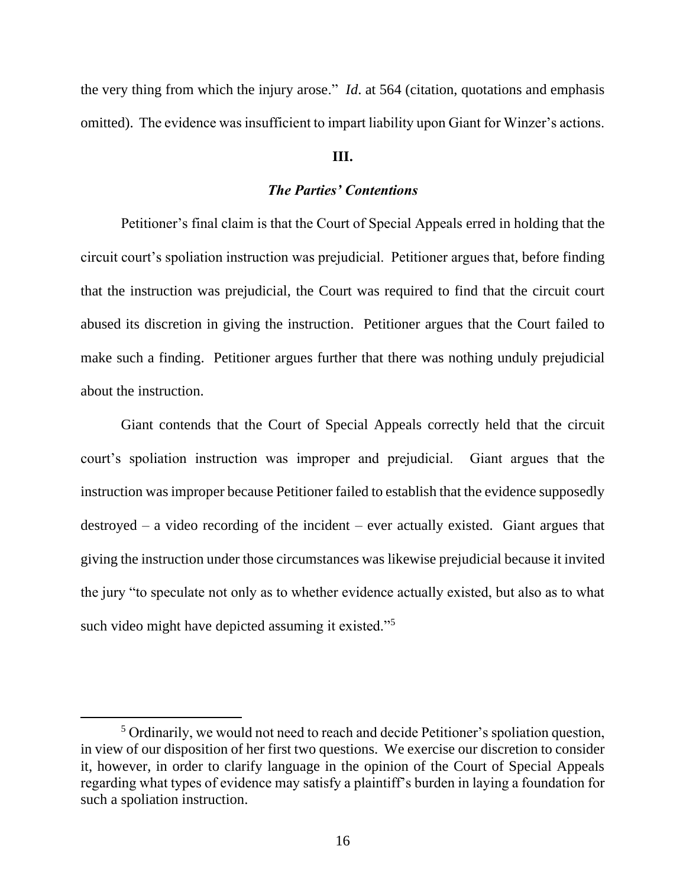the very thing from which the injury arose." *Id*. at 564 (citation, quotations and emphasis omitted). The evidence was insufficient to impart liability upon Giant for Winzer's actions.

### **III.**

## *The Parties' Contentions*

Petitioner's final claim is that the Court of Special Appeals erred in holding that the circuit court's spoliation instruction was prejudicial. Petitioner argues that, before finding that the instruction was prejudicial, the Court was required to find that the circuit court abused its discretion in giving the instruction. Petitioner argues that the Court failed to make such a finding. Petitioner argues further that there was nothing unduly prejudicial about the instruction.

Giant contends that the Court of Special Appeals correctly held that the circuit court's spoliation instruction was improper and prejudicial. Giant argues that the instruction was improper because Petitioner failed to establish that the evidence supposedly destroyed – a video recording of the incident – ever actually existed. Giant argues that giving the instruction under those circumstances was likewise prejudicial because it invited the jury "to speculate not only as to whether evidence actually existed, but also as to what such video might have depicted assuming it existed."<sup>5</sup>

<sup>&</sup>lt;sup>5</sup> Ordinarily, we would not need to reach and decide Petitioner's spoliation question, in view of our disposition of her first two questions. We exercise our discretion to consider it, however, in order to clarify language in the opinion of the Court of Special Appeals regarding what types of evidence may satisfy a plaintiff's burden in laying a foundation for such a spoliation instruction.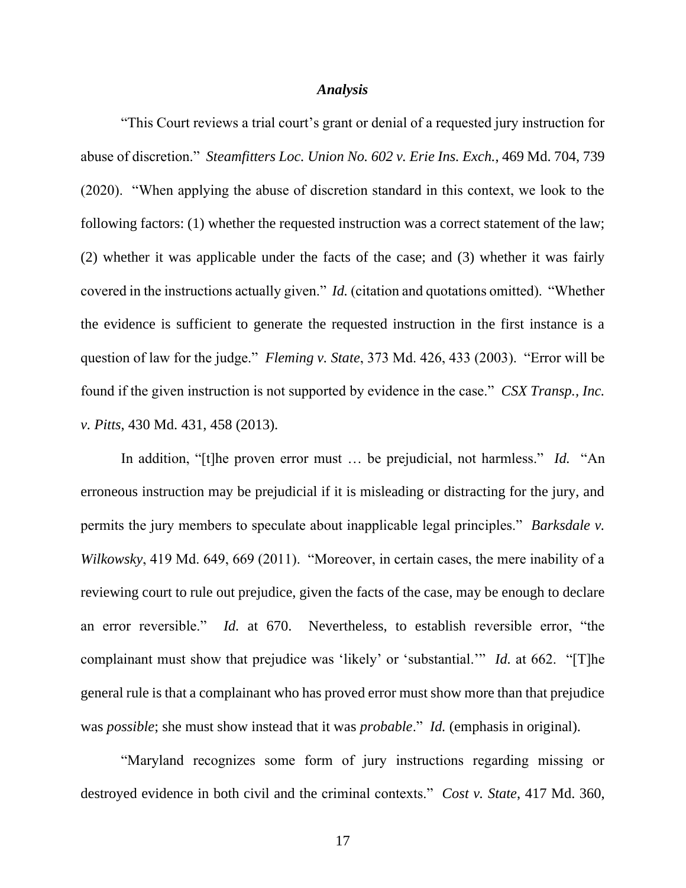#### *Analysis*

"This Court reviews a trial court's grant or denial of a requested jury instruction for abuse of discretion." *Steamfitters Loc. Union No. 602 v. Erie Ins. Exch.*, 469 Md. 704, 739 (2020). "When applying the abuse of discretion standard in this context, we look to the following factors: (1) whether the requested instruction was a correct statement of the law; (2) whether it was applicable under the facts of the case; and (3) whether it was fairly covered in the instructions actually given." *Id.* (citation and quotations omitted). "Whether the evidence is sufficient to generate the requested instruction in the first instance is a question of law for the judge." *Fleming v. State*, 373 Md. 426, 433 (2003). "Error will be found if the given instruction is not supported by evidence in the case." *CSX Transp., Inc. v. Pitts*, 430 Md. 431, 458 (2013).

In addition, "[t]he proven error must … be prejudicial, not harmless." *Id.* "An erroneous instruction may be prejudicial if it is misleading or distracting for the jury, and permits the jury members to speculate about inapplicable legal principles." *Barksdale v. Wilkowsky*, 419 Md. 649, 669 (2011). "Moreover, in certain cases, the mere inability of a reviewing court to rule out prejudice, given the facts of the case, may be enough to declare an error reversible." *Id.* at 670. Nevertheless, to establish reversible error, "the complainant must show that prejudice was 'likely' or 'substantial.'" *Id.* at 662. "[T]he general rule is that a complainant who has proved error must show more than that prejudice was *possible*; she must show instead that it was *probable*." *Id.* (emphasis in original).

"Maryland recognizes some form of jury instructions regarding missing or destroyed evidence in both civil and the criminal contexts." *Cost v. State*, 417 Md. 360,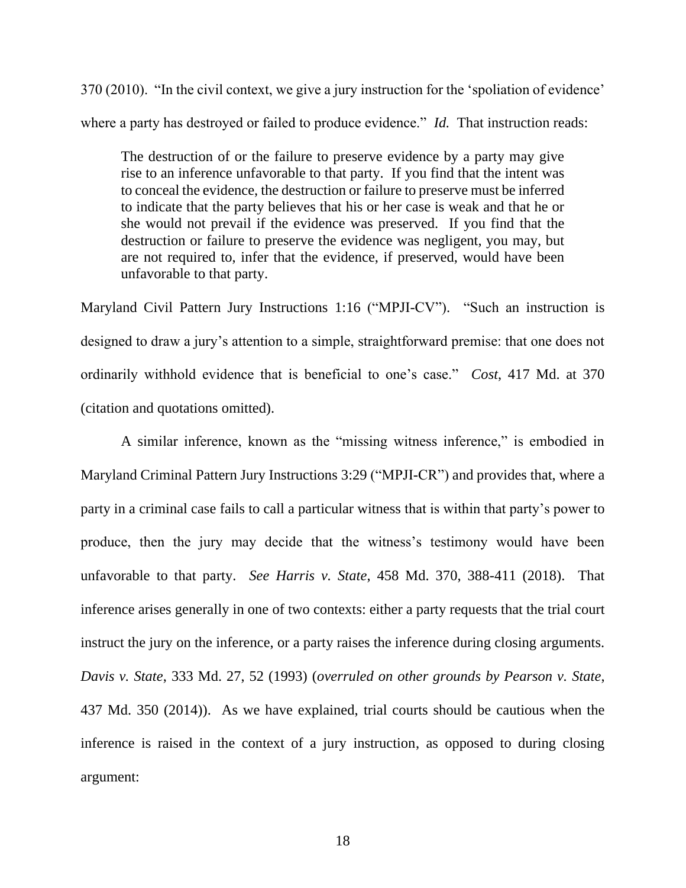370 (2010). "In the civil context, we give a jury instruction for the 'spoliation of evidence' where a party has destroyed or failed to produce evidence." *Id.* That instruction reads:

The destruction of or the failure to preserve evidence by a party may give rise to an inference unfavorable to that party. If you find that the intent was to conceal the evidence, the destruction or failure to preserve must be inferred to indicate that the party believes that his or her case is weak and that he or she would not prevail if the evidence was preserved. If you find that the destruction or failure to preserve the evidence was negligent, you may, but are not required to, infer that the evidence, if preserved, would have been unfavorable to that party.

Maryland Civil Pattern Jury Instructions 1:16 ("MPJI-CV"). "Such an instruction is designed to draw a jury's attention to a simple, straightforward premise: that one does not ordinarily withhold evidence that is beneficial to one's case." *Cost*, 417 Md. at 370 (citation and quotations omitted).

A similar inference, known as the "missing witness inference," is embodied in Maryland Criminal Pattern Jury Instructions 3:29 ("MPJI-CR") and provides that, where a party in a criminal case fails to call a particular witness that is within that party's power to produce, then the jury may decide that the witness's testimony would have been unfavorable to that party. *See Harris v. State*, 458 Md. 370, 388-411 (2018). That inference arises generally in one of two contexts: either a party requests that the trial court instruct the jury on the inference, or a party raises the inference during closing arguments. *Davis v. State*, 333 Md. 27, 52 (1993) (*overruled on other grounds by Pearson v. State*, 437 Md. 350 (2014)). As we have explained, trial courts should be cautious when the inference is raised in the context of a jury instruction, as opposed to during closing argument: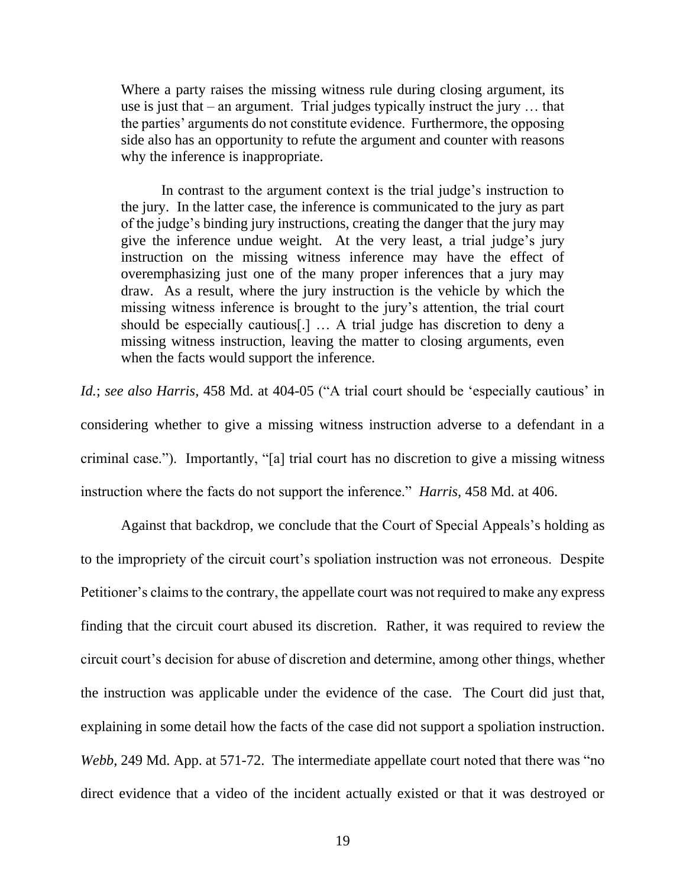Where a party raises the missing witness rule during closing argument, its use is just that – an argument. Trial judges typically instruct the jury … that the parties' arguments do not constitute evidence. Furthermore, the opposing side also has an opportunity to refute the argument and counter with reasons why the inference is inappropriate.

In contrast to the argument context is the trial judge's instruction to the jury. In the latter case, the inference is communicated to the jury as part of the judge's binding jury instructions, creating the danger that the jury may give the inference undue weight. At the very least, a trial judge's jury instruction on the missing witness inference may have the effect of overemphasizing just one of the many proper inferences that a jury may draw. As a result, where the jury instruction is the vehicle by which the missing witness inference is brought to the jury's attention, the trial court should be especially cautious[.] … A trial judge has discretion to deny a missing witness instruction, leaving the matter to closing arguments, even when the facts would support the inference.

*Id.*; *see also Harris*, 458 Md. at 404-05 ("A trial court should be 'especially cautious' in considering whether to give a missing witness instruction adverse to a defendant in a criminal case."). Importantly, "[a] trial court has no discretion to give a missing witness instruction where the facts do not support the inference." *Harris*, 458 Md. at 406.

Against that backdrop, we conclude that the Court of Special Appeals's holding as to the impropriety of the circuit court's spoliation instruction was not erroneous. Despite Petitioner's claims to the contrary, the appellate court was not required to make any express finding that the circuit court abused its discretion. Rather, it was required to review the circuit court's decision for abuse of discretion and determine, among other things, whether the instruction was applicable under the evidence of the case. The Court did just that, explaining in some detail how the facts of the case did not support a spoliation instruction. *Webb*, 249 Md. App. at 571-72. The intermediate appellate court noted that there was "no direct evidence that a video of the incident actually existed or that it was destroyed or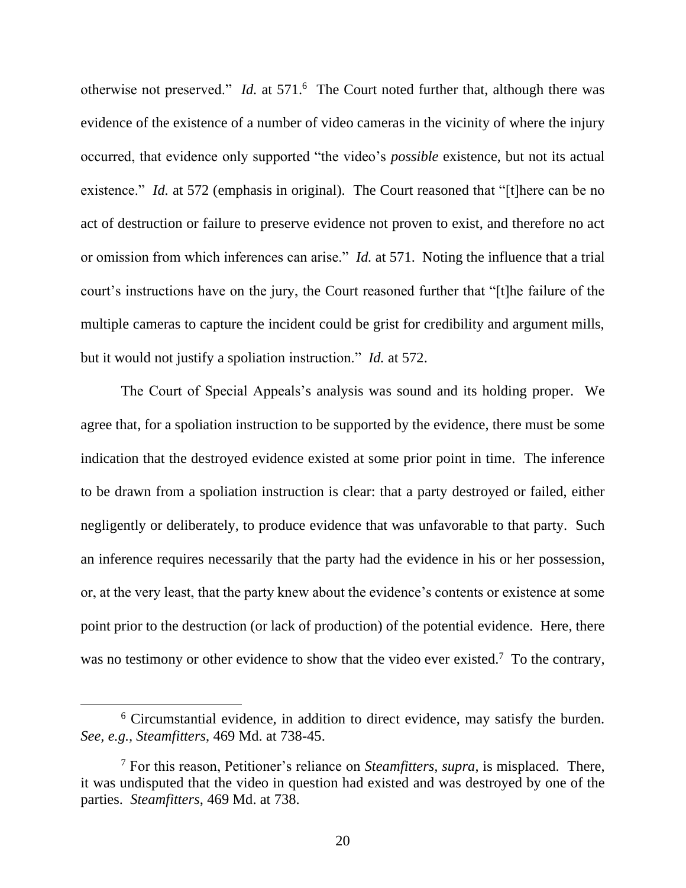otherwise not preserved." *Id.* at 571.<sup>6</sup> The Court noted further that, although there was evidence of the existence of a number of video cameras in the vicinity of where the injury occurred, that evidence only supported "the video's *possible* existence, but not its actual existence." *Id.* at 572 (emphasis in original). The Court reasoned that "[t] here can be no act of destruction or failure to preserve evidence not proven to exist, and therefore no act or omission from which inferences can arise." *Id.* at 571. Noting the influence that a trial court's instructions have on the jury, the Court reasoned further that "[t]he failure of the multiple cameras to capture the incident could be grist for credibility and argument mills, but it would not justify a spoliation instruction." *Id.* at 572.

The Court of Special Appeals's analysis was sound and its holding proper. We agree that, for a spoliation instruction to be supported by the evidence, there must be some indication that the destroyed evidence existed at some prior point in time. The inference to be drawn from a spoliation instruction is clear: that a party destroyed or failed, either negligently or deliberately, to produce evidence that was unfavorable to that party. Such an inference requires necessarily that the party had the evidence in his or her possession, or, at the very least, that the party knew about the evidence's contents or existence at some point prior to the destruction (or lack of production) of the potential evidence. Here, there was no testimony or other evidence to show that the video ever existed.<sup>7</sup> To the contrary,

<sup>6</sup> Circumstantial evidence, in addition to direct evidence, may satisfy the burden. *See, e.g., Steamfitters*, 469 Md. at 738-45.

<sup>7</sup> For this reason, Petitioner's reliance on *Steamfitters, supra*, is misplaced. There, it was undisputed that the video in question had existed and was destroyed by one of the parties. *Steamfitters*, 469 Md. at 738.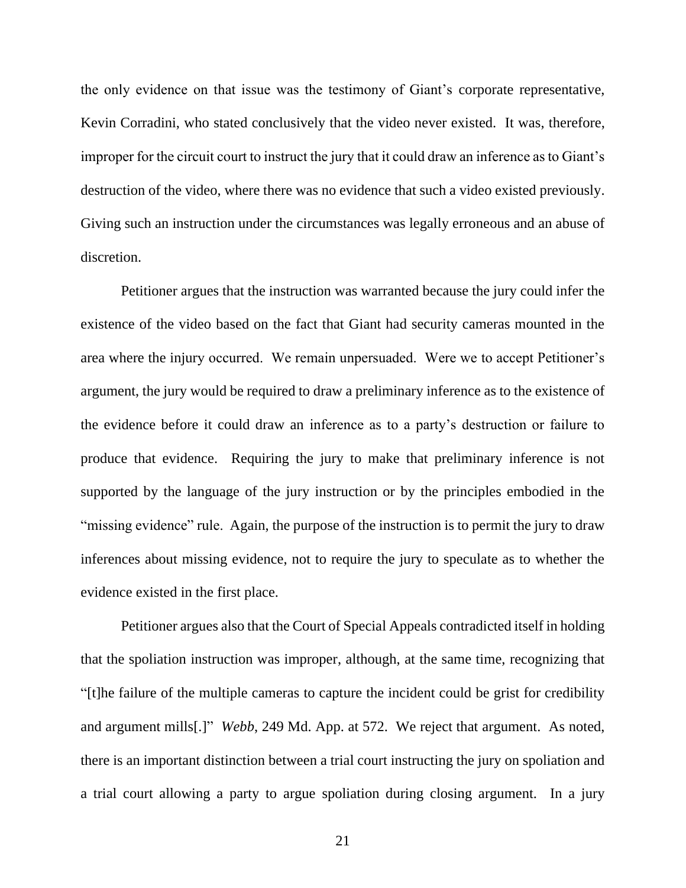the only evidence on that issue was the testimony of Giant's corporate representative, Kevin Corradini, who stated conclusively that the video never existed. It was, therefore, improper for the circuit court to instruct the jury that it could draw an inference as to Giant's destruction of the video, where there was no evidence that such a video existed previously. Giving such an instruction under the circumstances was legally erroneous and an abuse of discretion.

Petitioner argues that the instruction was warranted because the jury could infer the existence of the video based on the fact that Giant had security cameras mounted in the area where the injury occurred. We remain unpersuaded. Were we to accept Petitioner's argument, the jury would be required to draw a preliminary inference as to the existence of the evidence before it could draw an inference as to a party's destruction or failure to produce that evidence. Requiring the jury to make that preliminary inference is not supported by the language of the jury instruction or by the principles embodied in the "missing evidence" rule. Again, the purpose of the instruction is to permit the jury to draw inferences about missing evidence, not to require the jury to speculate as to whether the evidence existed in the first place.

Petitioner argues also that the Court of Special Appeals contradicted itself in holding that the spoliation instruction was improper, although, at the same time, recognizing that "[t]he failure of the multiple cameras to capture the incident could be grist for credibility and argument mills[.]" *Webb*, 249 Md. App. at 572. We reject that argument. As noted, there is an important distinction between a trial court instructing the jury on spoliation and a trial court allowing a party to argue spoliation during closing argument. In a jury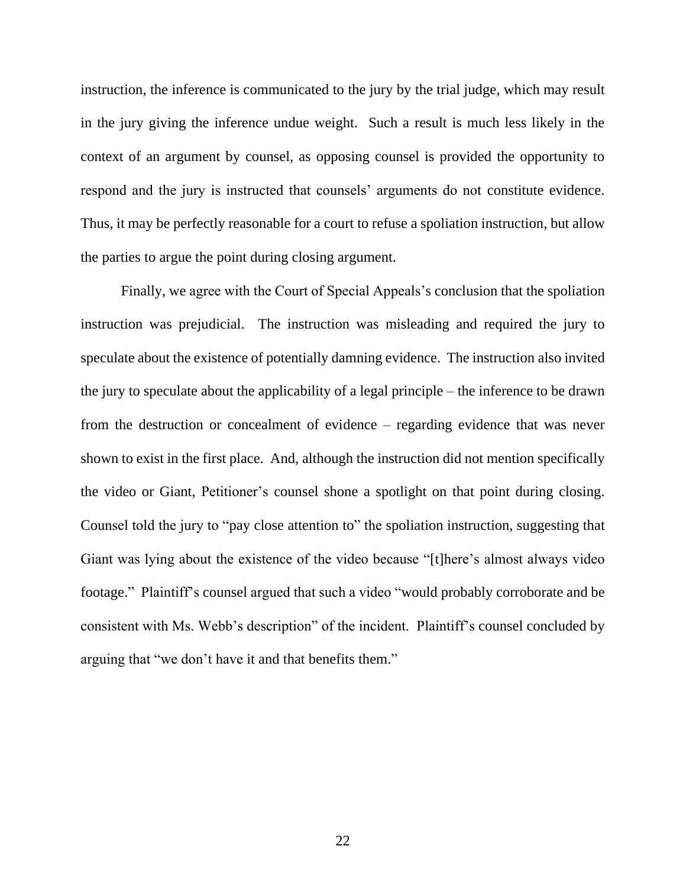instruction, the inference is communicated to the jury by the trial judge, which may result in the jury giving the inference undue weight. Such a result is much less likely in the context of an argument by counsel, as opposing counsel is provided the opportunity to respond and the jury is instructed that counsels' arguments do not constitute evidence. Thus, it may be perfectly reasonable for a court to refuse a spoliation instruction, but allow the parties to argue the point during closing argument.

Finally, we agree with the Court of Special Appeals's conclusion that the spoliation instruction was prejudicial. The instruction was misleading and required the jury to speculate about the existence of potentially damning evidence. The instruction also invited the jury to speculate about the applicability of a legal principle – the inference to be drawn from the destruction or concealment of evidence – regarding evidence that was never shown to exist in the first place. And, although the instruction did not mention specifically the video or Giant, Petitioner's counsel shone a spotlight on that point during closing. Counsel told the jury to "pay close attention to" the spoliation instruction, suggesting that Giant was lying about the existence of the video because "[t]here's almost always video footage." Plaintiff's counsel argued that such a video "would probably corroborate and be consistent with Ms. Webb's description" of the incident. Plaintiff's counsel concluded by arguing that "we don't have it and that benefits them."